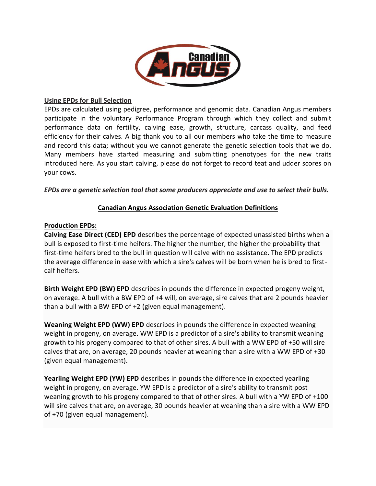

#### **Using EPDs for Bull Selection**

EPDs are calculated using pedigree, performance and genomic data. Canadian Angus members participate in the voluntary Performance Program through which they collect and submit performance data on fertility, calving ease, growth, structure, carcass quality, and feed efficiency for their calves. A big thank you to all our members who take the time to measure and record this data; without you we cannot generate the genetic selection tools that we do. Many members have started measuring and submitting phenotypes for the new traits introduced here. As you start calving, please do not forget to record teat and udder scores on your cows.

#### *EPDs are a genetic selection tool that some producers appreciate and use to select their bulls.*

## **Canadian Angus Association Genetic Evaluation Definitions**

#### **Production EPDs:**

**Calving Ease Direct (CED) EPD** describes the percentage of expected unassisted births when a bull is exposed to first-time heifers. The higher the number, the higher the probability that first-time heifers bred to the bull in question will calve with no assistance. The EPD predicts the average difference in ease with which a sire's calves will be born when he is bred to firstcalf heifers.

**Birth Weight EPD (BW) EPD** describes in pounds the difference in expected progeny weight, on average. A bull with a BW EPD of +4 will, on average, sire calves that are 2 pounds heavier than a bull with a BW EPD of +2 (given equal management).

**Weaning Weight EPD (WW) EPD** describes in pounds the difference in expected weaning weight in progeny, on average. WW EPD is a predictor of a sire's ability to transmit weaning growth to his progeny compared to that of other sires. A bull with a WW EPD of +50 will sire calves that are, on average, 20 pounds heavier at weaning than a sire with a WW EPD of +30 (given equal management).

**Yearling Weight EPD (YW) EPD** describes in pounds the difference in expected yearling weight in progeny, on average. YW EPD is a predictor of a sire's ability to transmit post weaning growth to his progeny compared to that of other sires. A bull with a YW EPD of +100 will sire calves that are, on average, 30 pounds heavier at weaning than a sire with a WW EPD of +70 (given equal management).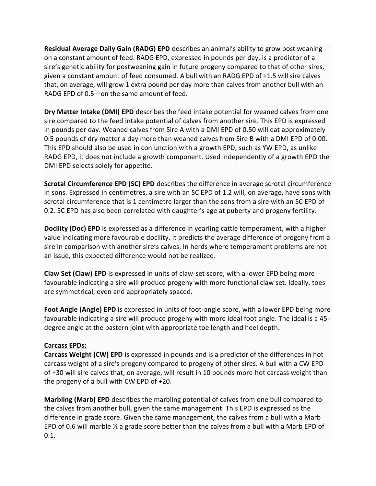**Residual Average Daily Gain (RADG) EPD** describes an animal's ability to grow post weaning on a constant amount of feed. RADG EPD, expressed in pounds per day, is a predictor of a sire's genetic ability for postweaning gain in future progeny compared to that of other sires, given a constant amount of feed consumed. A bull with an RADG EPD of +1.5 will sire calves that, on average, will grow 1 extra pound per day more than calves from another bull with an RADG EPD of 0.5—on the same amount of feed.

**Dry Matter Intake (DMI) EPD** describes the feed intake potential for weaned calves from one sire compared to the feed intake potential of calves from another sire. This EPD is expressed in pounds per day. Weaned calves from Sire A with a DMI EPD of 0.50 will eat approximately 0.5 pounds of dry matter a day more than weaned calves from Sire B with a DMI EPD of 0.00. This EPD should also be used in conjunction with a growth EPD, such as YW EPD, as unlike RADG EPD, it does not include a growth component. Used independently of a growth EPD the DMI EPD selects solely for appetite.

**Scrotal Circumference EPD (SC) EPD** describes the difference in average scrotal circumference in sons. Expressed in centimetres, a sire with an SC EPD of 1.2 will, on average, have sons with scrotal circumference that is 1 centimetre larger than the sons from a sire with an SC EPD of 0.2. SC EPD has also been correlated with daughter's age at puberty and progeny fertility.

**Docility (Doc) EPD** is expressed as a difference in yearling cattle temperament, with a higher value indicating more favourable docility. It predicts the average difference of progeny from a sire in comparison with another sire's calves. In herds where temperament problems are not an issue, this expected difference would not be realized.

**Claw Set (Claw) EPD** is expressed in units of claw-set score, with a lower EPD being more favourable indicating a sire will produce progeny with more functional claw set. Ideally, toes are symmetrical, even and appropriately spaced.

**Foot Angle (Angle) EPD** is expressed in units of foot-angle score, with a lower EPD being more favourable indicating a sire will produce progeny with more ideal foot angle. The ideal is a 45 degree angle at the pastern joint with appropriate toe length and heel depth.

# **Carcass EPDs:**

**Carcass Weight (CW) EPD** is expressed in pounds and is a predictor of the differences in hot carcass weight of a sire's progeny compared to progeny of other sires. A bull with a CW EPD of +30 will sire calves that, on average, will result in 10 pounds more hot carcass weight than the progeny of a bull with CW EPD of +20.

**Marbling (Marb) EPD** describes the marbling potential of calves from one bull compared to the calves from another bull, given the same management. This EPD is expressed as the difference in grade score. Given the same management, the calves from a bull with a Marb EPD of 0.6 will marble  $\frac{1}{2}$  a grade score better than the calves from a bull with a Marb EPD of 0.1.